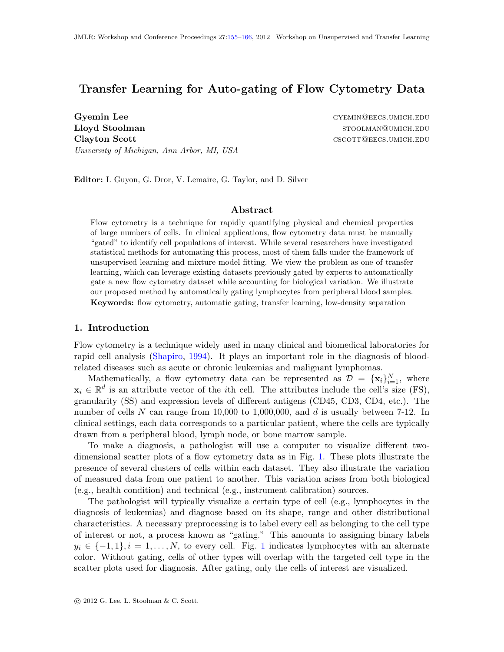# Transfer Learning for Auto-gating of Flow Cytometry Data

Gyemin Lee Gyemin Communication Communication Communication Communication Communication Communication Communication Lloyd Stoolman stoolman stool and stool and stool and stool and stool and stool and stool and stool and stool and stool and stool and stool and stool and stool and stool and stood and stool and stood and stood and stood an Clayton Scott cscott cscott cscott cscott cscott cscott cscott cscott cscott cscott cscott cscott cscott cscott University of Michigan, Ann Arbor, MI, USA

Editor: I. Guyon, G. Dror, V. Lemaire, G. Taylor, and D. Silver

#### Abstract

Flow cytometry is a technique for rapidly quantifying physical and chemical properties of large numbers of cells. In clinical applications, flow cytometry data must be manually "gated" to identify cell populations of interest. While several researchers have investigated statistical methods for automating this process, most of them falls under the framework of unsupervised learning and mixture model fitting. We view the problem as one of transfer learning, which can leverage existing datasets previously gated by experts to automatically gate a new flow cytometry dataset while accounting for biological variation. We illustrate our proposed method by automatically gating lymphocytes from peripheral blood samples. Keywords: flow cytometry, automatic gating, transfer learning, low-density separation

#### 1. Introduction

Flow cytometry is a technique widely used in many clinical and biomedical laboratories for rapid cell analysis [\(Shapiro,](#page-11-1) [1994\)](#page-11-1). It plays an important role in the diagnosis of bloodrelated diseases such as acute or chronic leukemias and malignant lymphomas.

Mathematically, a flow cytometry data can be represented as  $\mathcal{D} = {\mathbf{x}_i}_{i=1}^N$ , where  $\mathbf{x}_i \in \mathbb{R}^d$  is an attribute vector of the *i*th cell. The attributes include the cell's size (FS), granularity (SS) and expression levels of different antigens (CD45, CD3, CD4, etc.). The number of cells N can range from 10,000 to 1,000,000, and d is usually between 7-12. In clinical settings, each data corresponds to a particular patient, where the cells are typically drawn from a peripheral blood, lymph node, or bone marrow sample.

To make a diagnosis, a pathologist will use a computer to visualize different twodimensional scatter plots of a flow cytometry data as in Fig. [1.](#page-1-0) These plots illustrate the presence of several clusters of cells within each dataset. They also illustrate the variation of measured data from one patient to another. This variation arises from both biological (e.g., health condition) and technical (e.g., instrument calibration) sources.

The pathologist will typically visualize a certain type of cell (e.g., lymphocytes in the diagnosis of leukemias) and diagnose based on its shape, range and other distributional characteristics. A necessary preprocessing is to label every cell as belonging to the cell type of interest or not, a process known as "gating." This amounts to assigning binary labels  $y_i \in \{-1, 1\}, i = 1, \ldots, N$  $y_i \in \{-1, 1\}, i = 1, \ldots, N$  $y_i \in \{-1, 1\}, i = 1, \ldots, N$ , to every cell. Fig. 1 indicates lymphocytes with an alternate color. Without gating, cells of other types will overlap with the targeted cell type in the scatter plots used for diagnosis. After gating, only the cells of interest are visualized.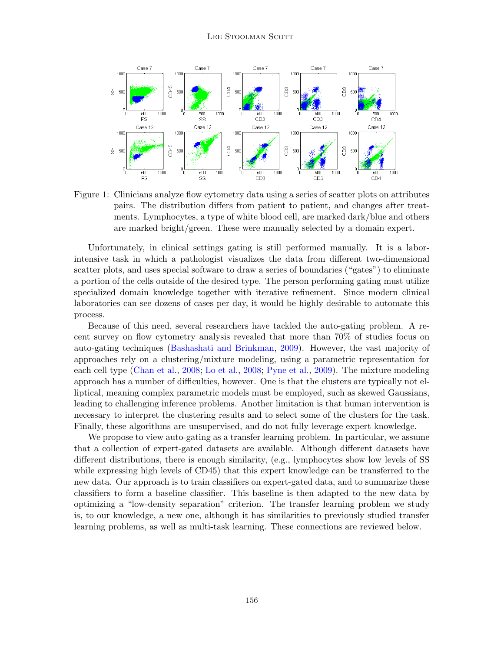

<span id="page-1-0"></span>Figure 1: Clinicians analyze flow cytometry data using a series of scatter plots on attributes pairs. The distribution differs from patient to patient, and changes after treatments. Lymphocytes, a type of white blood cell, are marked dark/blue and others are marked bright/green. These were manually selected by a domain expert.

Unfortunately, in clinical settings gating is still performed manually. It is a laborintensive task in which a pathologist visualizes the data from different two-dimensional scatter plots, and uses special software to draw a series of boundaries ("gates") to eliminate a portion of the cells outside of the desired type. The person performing gating must utilize specialized domain knowledge together with iterative refinement. Since modern clinical laboratories can see dozens of cases per day, it would be highly desirable to automate this process.

Because of this need, several researchers have tackled the auto-gating problem. A recent survey on flow cytometry analysis revealed that more than 70% of studies focus on auto-gating techniques [\(Bashashati and Brinkman,](#page-11-2) [2009\)](#page-11-2). However, the vast majority of approaches rely on a clustering/mixture modeling, using a parametric representation for each cell type [\(Chan et al.,](#page-11-3) [2008;](#page-11-3) [Lo et al.,](#page-11-4) [2008;](#page-11-4) [Pyne et al.,](#page-11-5) [2009\)](#page-11-5). The mixture modeling approach has a number of difficulties, however. One is that the clusters are typically not elliptical, meaning complex parametric models must be employed, such as skewed Gaussians, leading to challenging inference problems. Another limitation is that human intervention is necessary to interpret the clustering results and to select some of the clusters for the task. Finally, these algorithms are unsupervised, and do not fully leverage expert knowledge.

We propose to view auto-gating as a transfer learning problem. In particular, we assume that a collection of expert-gated datasets are available. Although different datasets have different distributions, there is enough similarity, (e.g., lymphocytes show low levels of SS while expressing high levels of CD45) that this expert knowledge can be transferred to the new data. Our approach is to train classifiers on expert-gated data, and to summarize these classifiers to form a baseline classifier. This baseline is then adapted to the new data by optimizing a "low-density separation" criterion. The transfer learning problem we study is, to our knowledge, a new one, although it has similarities to previously studied transfer learning problems, as well as multi-task learning. These connections are reviewed below.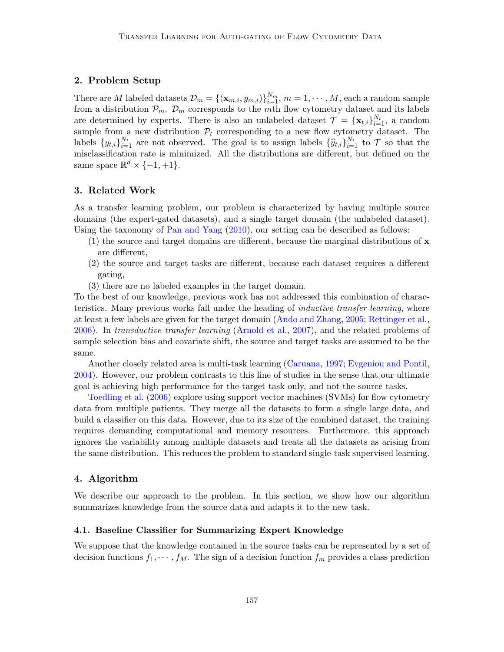## 2. Problem Setup

There are M labeled datasets  $\mathcal{D}_m = \{(\mathbf{x}_{m,i}, y_{m,i})\}_{i=1}^{N_m}, m = 1, \cdots, M$ , each a random sample from a distribution  $\mathcal{P}_m$ .  $\mathcal{D}_m$  corresponds to the mth flow cytometry dataset and its labels are determined by experts. There is also an unlabeled dataset  $\mathcal{T} = {\mathbf{x}_{t,i}}_{i=1}^{N_t}$ , a random sample from a new distribution  $P_t$  corresponding to a new flow cytometry dataset. The labels  $\{y_{t,i}\}_{i=1}^{N_t}$  are not observed. The goal is to assign labels  $\{\widehat{y}_{t,i}\}_{i=1}^{N_t}$  to  $\mathcal T$  so that the misclassification rate is minimized. All the distributions are different, but defined on the same space  $\mathbb{R}^d \times \{-1, +1\}.$ 

# 3. Related Work

As a transfer learning problem, our problem is characterized by having multiple source domains (the expert-gated datasets), and a single target domain (the unlabeled dataset). Using the taxonomy of [Pan and Yang](#page-11-6) [\(2010\)](#page-11-6), our setting can be described as follows:

- $(1)$  the source and target domains are different, because the marginal distributions of  $\bf{x}$ are different,
- (2) the source and target tasks are different, because each dataset requires a different gating,
- (3) there are no labeled examples in the target domain.

To the best of our knowledge, previous work has not addressed this combination of characteristics. Many previous works fall under the heading of inductive transfer learning, where at least a few labels are given for the target domain [\(Ando and Zhang,](#page-11-7) [2005;](#page-11-7) [Rettinger et al.,](#page-11-8) [2006\)](#page-11-8). In transductive transfer learning [\(Arnold et al.,](#page-11-9) [2007\)](#page-11-9), and the related problems of sample selection bias and covariate shift, the source and target tasks are assumed to be the same.

Another closely related area is multi-task learning [\(Caruana,](#page-11-10) [1997;](#page-11-10) [Evgeniou and Pontil,](#page-11-11) [2004\)](#page-11-11). However, our problem contrasts to this line of studies in the sense that our ultimate goal is achieving high performance for the target task only, and not the source tasks.

[Toedling et al.](#page-11-12) [\(2006\)](#page-11-12) explore using support vector machines (SVMs) for flow cytometry data from multiple patients. They merge all the datasets to form a single large data, and build a classifier on this data. However, due to its size of the combined dataset, the training requires demanding computational and memory resources. Furthermore, this approach ignores the variability among multiple datasets and treats all the datasets as arising from the same distribution. This reduces the problem to standard single-task supervised learning.

# <span id="page-2-0"></span>4. Algorithm

We describe our approach to the problem. In this section, we show how our algorithm summarizes knowledge from the source data and adapts it to the new task.

#### 4.1. Baseline Classifier for Summarizing Expert Knowledge

We suppose that the knowledge contained in the source tasks can be represented by a set of decision functions  $f_1, \dots, f_M$ . The sign of a decision function  $f_m$  provides a class prediction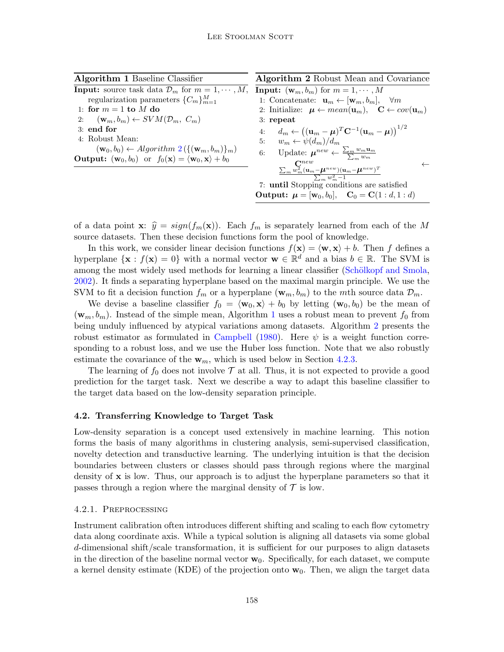<span id="page-3-1"></span><span id="page-3-0"></span>

| <b>Algorithm 1 Baseline Classifier</b>                                                                     | Algorithm 2 Robust Mean and Covariance                                                                                           |  |  |  |  |
|------------------------------------------------------------------------------------------------------------|----------------------------------------------------------------------------------------------------------------------------------|--|--|--|--|
| <b>Input:</b> source task data $\mathcal{D}_m$ for $m = 1, \dots, M$ ,                                     | <b>Input:</b> $(\mathbf{w}_m, b_m)$ for $m = 1, \dots, M$                                                                        |  |  |  |  |
| regularization parameters $\{C_m\}_{m=1}^M$                                                                | 1: Concatenate: $\mathbf{u}_m \leftarrow [\mathbf{w}_m, b_m], \quad \forall m$                                                   |  |  |  |  |
| 1: for $m = 1$ to M do                                                                                     | 2: Initialize: $\mu \leftarrow mean(\mathbf{u}_m)$ , $\mathbf{C} \leftarrow cov(\mathbf{u}_m)$                                   |  |  |  |  |
| 2: $(\mathbf{w}_m, b_m) \leftarrow SVM(\mathcal{D}_m, C_m)$                                                | $3:$ repeat                                                                                                                      |  |  |  |  |
| $3:$ end for                                                                                               | $d_m \leftarrow ((\mathbf{u}_m - \boldsymbol{\mu})^T \mathbf{C}^{-1} (\mathbf{u}_m - \boldsymbol{\mu}))^{1/2}$<br>4:             |  |  |  |  |
| 4: Robust Mean:                                                                                            | 5: $w_m \leftarrow \psi(d_m)/d_m$                                                                                                |  |  |  |  |
| $(\mathbf{w}_0, b_0) \leftarrow Algorithm \ 2(\{(\mathbf{w}_m, b_m)\}_m)$                                  | 6: Update: $\mu^{new} \leftarrow \frac{\sum_{m} w_m \mathbf{u}_m}{\sum w_m}$                                                     |  |  |  |  |
| <b>Output:</b> $(\mathbf{w}_0, b_0)$ or $f_0(\mathbf{x}) = \langle \mathbf{w}_0, \mathbf{x} \rangle + b_0$ |                                                                                                                                  |  |  |  |  |
|                                                                                                            | $\frac{\sum_{m} w_m^{new} (\mathbf{u}_m - \boldsymbol{\mu}^{new})(\mathbf{u}_m - \boldsymbol{\mu}^{new})^T}{\sum_{m} w_m^2 - 1}$ |  |  |  |  |
|                                                                                                            |                                                                                                                                  |  |  |  |  |
|                                                                                                            | 7: until Stopping conditions are satisfied                                                                                       |  |  |  |  |
|                                                                                                            | <b>Output:</b> $\mu = [\mathbf{w}_0, b_0], \quad \mathbf{C}_0 = \mathbf{C}(1:d, 1:d)$                                            |  |  |  |  |

of a data point **x**:  $\hat{y} = sign(f_m(\mathbf{x}))$ . Each  $f_m$  is separately learned from each of the M source datasets. Then these decision functions form the pool of knowledge.

In this work, we consider linear decision functions  $f(\mathbf{x}) = \langle \mathbf{w}, \mathbf{x} \rangle + b$ . Then f defines a hyperplane  $\{x : f(x) = 0\}$  with a normal vector  $w \in \mathbb{R}^d$  and a bias  $b \in \mathbb{R}$ . The SVM is among the most widely used methods for learning a linear classifier (Schölkopf and Smola, [2002\)](#page-11-13). It finds a separating hyperplane based on the maximal margin principle. We use the SVM to fit a decision function  $f_m$  or a hyperplane  $(\mathbf{w}_m, b_m)$  to the mth source data  $\mathcal{D}_m$ .

We devise a baseline classifier  $f_0 = \langle \mathbf{w}_0, \mathbf{x} \rangle + b_0$  by letting  $(\mathbf{w}_0, b_0)$  be the mean of  $(\mathbf{w}_m, b_m)$ . Instead of the simple mean, Algorithm [1](#page-3-1) uses a robust mean to prevent  $f_0$  from being unduly influenced by atypical variations among datasets. Algorithm [2](#page-3-0) presents the robust estimator as formulated in [Campbell](#page-11-14) [\(1980\)](#page-11-14). Here  $\psi$  is a weight function corresponding to a robust loss, and we use the Huber loss function. Note that we also robustly estimate the covariance of the  $w_m$ , which is used below in Section [4.2.3.](#page-5-0)

The learning of  $f_0$  does not involve  $\mathcal T$  at all. Thus, it is not expected to provide a good prediction for the target task. Next we describe a way to adapt this baseline classifier to the target data based on the low-density separation principle.

# 4.2. Transferring Knowledge to Target Task

Low-density separation is a concept used extensively in machine learning. This notion forms the basis of many algorithms in clustering analysis, semi-supervised classification, novelty detection and transductive learning. The underlying intuition is that the decision boundaries between clusters or classes should pass through regions where the marginal density of  $x$  is low. Thus, our approach is to adjust the hyperplane parameters so that it passes through a region where the marginal density of  $\mathcal T$  is low.

### 4.2.1. Preprocessing

Instrument calibration often introduces different shifting and scaling to each flow cytometry data along coordinate axis. While a typical solution is aligning all datasets via some global d-dimensional shift/scale transformation, it is sufficient for our purposes to align datasets in the direction of the baseline normal vector  $w_0$ . Specifically, for each dataset, we compute a kernel density estimate (KDE) of the projection onto  $w_0$ . Then, we align the target data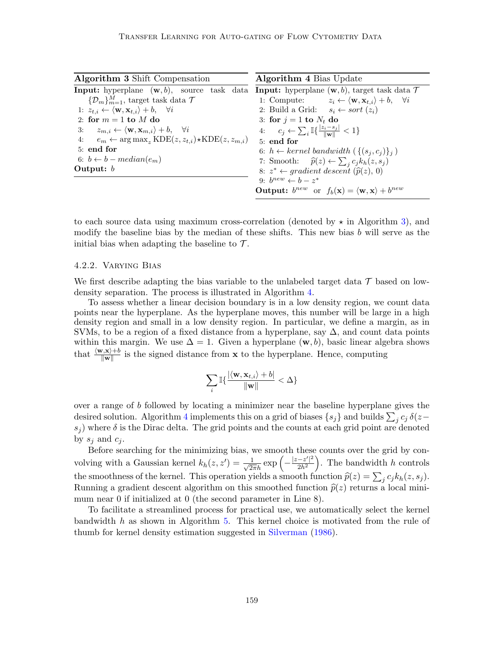<span id="page-4-1"></span><span id="page-4-0"></span>

| <b>Algorithm 3</b> Shift Compensation                                                     | <b>Algorithm 4 Bias Update</b>                                                                   |  |  |  |  |
|-------------------------------------------------------------------------------------------|--------------------------------------------------------------------------------------------------|--|--|--|--|
| <b>Input:</b> hyperplane $(\mathbf{w}, b)$ , source task data                             | <b>Input:</b> hyperplane $(\mathbf{w}, b)$ , target task data $\mathcal T$                       |  |  |  |  |
| $\{\mathcal{D}_m\}_{m=1}^M$ , target task data $\mathcal T$                               | 1: Compute: $z_i \leftarrow \langle \mathbf{w}, \mathbf{x}_{t,i} \rangle + b, \quad \forall i$   |  |  |  |  |
| 1: $z_{t,i} \leftarrow \langle \mathbf{w}, \mathbf{x}_{t,i} \rangle + b, \quad \forall i$ | 2: Build a Grid: $s_i \leftarrow sort(z_i)$                                                      |  |  |  |  |
| 2: for $m = 1$ to M do                                                                    | 3: for $j = 1$ to $N_t$ do                                                                       |  |  |  |  |
| 3: $z_{m,i} \leftarrow \langle \mathbf{w}, \mathbf{x}_{m,i} \rangle + b, \quad \forall i$ | 4: $c_j \leftarrow \sum_i \mathbb{I}\{\frac{ z_i - s_j }{\  \mathbf{w} \ } < 1\}$                |  |  |  |  |
| 4: $e_m \leftarrow \arg \max_z \text{KDE}(z, z_{t,i}) \star \text{KDE}(z, z_{m,i})$       | $5:$ end for                                                                                     |  |  |  |  |
| 5: end for                                                                                | 6: $h \leftarrow \text{kernel bandwidth } (\{(s_i, c_i)\}_i)$                                    |  |  |  |  |
| 6: $b \leftarrow b - median(e_m)$                                                         | 7: Smooth: $\hat{p}(z) \leftarrow \sum_{i} c_j k_h(z, s_j)$                                      |  |  |  |  |
| Output: $b$                                                                               | 8: $z^* \leftarrow gradient descent (\hat{p}(z), 0)$                                             |  |  |  |  |
|                                                                                           | 9: $b^{new} \leftarrow b - z^*$                                                                  |  |  |  |  |
|                                                                                           | <b>Output:</b> $b^{new}$ or $f_b(\mathbf{x}) = \langle \mathbf{w}, \mathbf{x} \rangle + b^{new}$ |  |  |  |  |

to each source data using maximum cross-correlation (denoted by  $\star$  in Algorithm [3\)](#page-4-0), and modify the baseline bias by the median of these shifts. This new bias b will serve as the initial bias when adapting the baseline to  $\mathcal{T}$ .

#### 4.2.2. Varying Bias

We first describe adapting the bias variable to the unlabeled target data  $\mathcal T$  based on lowdensity separation. The process is illustrated in Algorithm [4.](#page-4-1)

To assess whether a linear decision boundary is in a low density region, we count data points near the hyperplane. As the hyperplane moves, this number will be large in a high density region and small in a low density region. In particular, we define a margin, as in SVMs, to be a region of a fixed distance from a hyperplane, say  $\Delta$ , and count data points within this margin. We use  $\Delta = 1$ . Given a hyperplane  $(\mathbf{w}, b)$ , basic linear algebra shows that  $\frac{\langle \mathbf{w}, \mathbf{x} \rangle + b}{\|\mathbf{w}\|}$  is the signed distance from **x** to the hyperplane. Hence, computing

$$
\sum_i \mathbb{I}\{\frac{|\langle \mathbf{w}, \mathbf{x}_{t,i} \rangle + b|}{\|\mathbf{w}\|} < \Delta\}
$$

over a range of b followed by locating a minimizer near the baseline hyperplane gives the desired solution. Algorithm [4](#page-4-1) implements this on a grid of biases  $\{s_j\}$  and builds  $\sum_j c_j \,\delta(z-\bar{c}_j)$  $s_i$ ) where  $\delta$  is the Dirac delta. The grid points and the counts at each grid point are denoted by  $s_i$  and  $c_i$ .

Before searching for the minimizing bias, we smooth these counts over the grid by convolving with a Gaussian kernel  $k_h(z, z') = \frac{1}{\sqrt{2\pi}h} \exp \left(-\frac{|z - z'|^2}{2h^2}\right)$  $\frac{-z'^{2}}{2h^{2}}$ . The bandwidth h controls the smoothness of the kernel. This operation yields a smooth function  $\hat{p}(z) = \sum_j c_j k_h(z, s_j)$ .<br>Punning a gradient deceast algorithm on this smoothed function  $\hat{p}(z)$  returns a local mini-Running a gradient descent algorithm on this smoothed function  $\hat{p}(z)$  returns a local minimum near 0 if initialized at 0 (the second parameter in Line 8).

To facilitate a streamlined process for practical use, we automatically select the kernel bandwidth h as shown in Algorithm [5.](#page-5-1) This kernel choice is motivated from the rule of thumb for kernel density estimation suggested in [Silverman](#page-11-15) [\(1986\)](#page-11-15).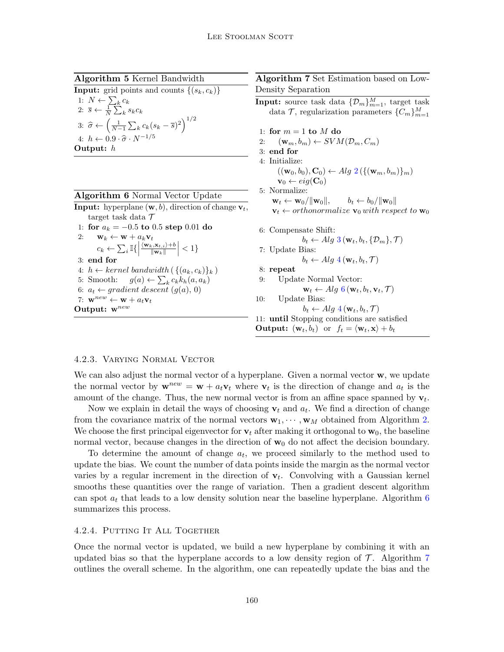Algorithm 5 Kernel Bandwidth

<span id="page-5-1"></span>**Input:** grid points and counts  $\{(s_k, c_k)\}$ 1:  $N \leftarrow \sum_k c_k$ 2:  $\overline{s} \leftarrow \frac{1}{N} \sum_{k}^{N} s_k c_k$ 3:  $\hat{\sigma} \leftarrow \left(\frac{1}{N-1} \sum_{k} c_k (s_k - \overline{s})^2\right)^{1/2}$ 4:  $h \leftarrow 0.9 \cdot \widehat{\sigma} \cdot N^{-1/5}$ Output: h

<span id="page-5-2"></span>

| <b>Algorithm 6</b> Normal Vector Update                                                                                                       |
|-----------------------------------------------------------------------------------------------------------------------------------------------|
| <b>Input:</b> hyperplane $(\mathbf{w}, b)$ , direction of change $\mathbf{v}_t$ ,                                                             |
| target task data $\mathcal T$                                                                                                                 |
| 1: for $a_k = -0.5$ to 0.5 step 0.01 do                                                                                                       |
| 2:<br>$\mathbf{w}_k \leftarrow \mathbf{w} + a_k \mathbf{v}_t$                                                                                 |
| $c_k \leftarrow \sum_i \mathbb{I}\left\{\left \frac{\langle \mathbf{w}_k, \mathbf{x}_{t,i} \rangle + b}{\ \mathbf{w}_k\ }\right  < 1\right\}$ |
| $3:$ end for                                                                                                                                  |
| 4: $h \leftarrow \text{kernel bandwidth}(\{(a_k, c_k)\}_k)$                                                                                   |
| 5: Smooth: $g(a) \leftarrow \sum_k c_k k_h(a, a_k)$                                                                                           |
| 6: $a_t \leftarrow gradient descent (q(a), 0)$                                                                                                |
| 7: $\mathbf{w}^{new} \leftarrow \mathbf{w} + a_t \mathbf{v}_t$                                                                                |
| Output: $w^{new}$                                                                                                                             |
|                                                                                                                                               |

# <span id="page-5-3"></span>Algorithm 7 Set Estimation based on Low-Density Separation **Input:** source task data  $\{\mathcal{D}_m\}_{m=1}^M$ , target task data  $\mathcal{T}$ , regularization parameters  $\{C_m\}_{m=1}^M$ 1: for  $m = 1$  to  $M$  do 2:  $(\mathbf{w}_m, b_m) \leftarrow SVM(\mathcal{D}_m, C_m)$ 3: end for 4: Initialize:  $((\mathbf{w}_0, b_0), \mathbf{C}_0) \leftarrow Alg \; 2 (\{(\mathbf{w}_m, b_m)\}_m)$  $((\mathbf{w}_0, b_0), \mathbf{C}_0) \leftarrow Alg \; 2 (\{(\mathbf{w}_m, b_m)\}_m)$  $((\mathbf{w}_0, b_0), \mathbf{C}_0) \leftarrow Alg \; 2 (\{(\mathbf{w}_m, b_m)\}_m)$  $\mathbf{v}_0 \leftarrow eig(\mathbf{C}_0)$ 5: Normalize:  $\mathbf{w}_t \leftarrow \mathbf{w}_0 / ||\mathbf{w}_0||, \qquad b_t \leftarrow b_0 / ||\mathbf{w}_0||$  $\mathbf{v}_t \leftarrow orthonormalize \; \mathbf{v}_0 \; with \; respect \; to \; \mathbf{w}_0$ 6: Compensate Shift:  $b_t \leftarrow Alg\ 3(\mathbf{w}_t, b_t, \{\mathcal{D}_m\}, \mathcal{T})$  $b_t \leftarrow Alg\ 3(\mathbf{w}_t, b_t, \{\mathcal{D}_m\}, \mathcal{T})$  $b_t \leftarrow Alg\ 3(\mathbf{w}_t, b_t, \{\mathcal{D}_m\}, \mathcal{T})$ 7: Update Bias:  $b_t \leftarrow Alg\ 4(\mathbf{w}_t, b_t, \mathcal{T})$  $b_t \leftarrow Alg\ 4(\mathbf{w}_t, b_t, \mathcal{T})$  $b_t \leftarrow Alg\ 4(\mathbf{w}_t, b_t, \mathcal{T})$ 8: repeat 9: Update Normal Vector:  $\mathbf{w}_t \leftarrow Alg\ 6(\mathbf{w}_t, b_t, \mathbf{v}_t, \mathcal{T})$  $\mathbf{w}_t \leftarrow Alg\ 6(\mathbf{w}_t, b_t, \mathbf{v}_t, \mathcal{T})$  $\mathbf{w}_t \leftarrow Alg\ 6(\mathbf{w}_t, b_t, \mathbf{v}_t, \mathcal{T})$ 10: Update Bias:  $b_t \leftarrow Alg \cdot \{ \mathbf{w}_t, b_t, \mathcal{T} \}$ 11: until Stopping conditions are satisfied **Output:**  $(\mathbf{w}_t, b_t)$  or  $f_t = \langle \mathbf{w}_t, \mathbf{x} \rangle + b_t$

### <span id="page-5-0"></span>4.2.3. Varying Normal Vector

We can also adjust the normal vector of a hyperplane. Given a normal vector  $\mathbf{w}$ , we update the normal vector by  $\mathbf{w}^{new} = \mathbf{w} + a_t \mathbf{v}_t$  where  $\mathbf{v}_t$  is the direction of change and  $a_t$  is the amount of the change. Thus, the new normal vector is from an affine space spanned by  $\mathbf{v}_t$ .

Now we explain in detail the ways of choosing  $\mathbf{v}_t$  and  $a_t$ . We find a direction of change from the covariance matrix of the normal vectors  $\mathbf{w}_1, \dots, \mathbf{w}_M$  obtained from Algorithm [2.](#page-3-0) We choose the first principal eigenvector for  $\mathbf{v}_t$  after making it orthogonal to  $\mathbf{w}_0$ , the baseline normal vector, because changes in the direction of  $w_0$  do not affect the decision boundary.

To determine the amount of change  $a_t$ , we proceed similarly to the method used to update the bias. We count the number of data points inside the margin as the normal vector varies by a regular increment in the direction of  $v_t$ . Convolving with a Gaussian kernel smooths these quantities over the range of variation. Then a gradient descent algorithm can spot  $a_t$  that leads to a low density solution near the baseline hyperplane. Algorithm  $6$ summarizes this process.

## 4.2.4. PUTTING IT ALL TOGETHER

Once the normal vector is updated, we build a new hyperplane by combining it with an updated bias so that the hyperplane accords to a low density region of  $\mathcal T$ . Algorithm [7](#page-5-3) outlines the overall scheme. In the algorithm, one can repeatedly update the bias and the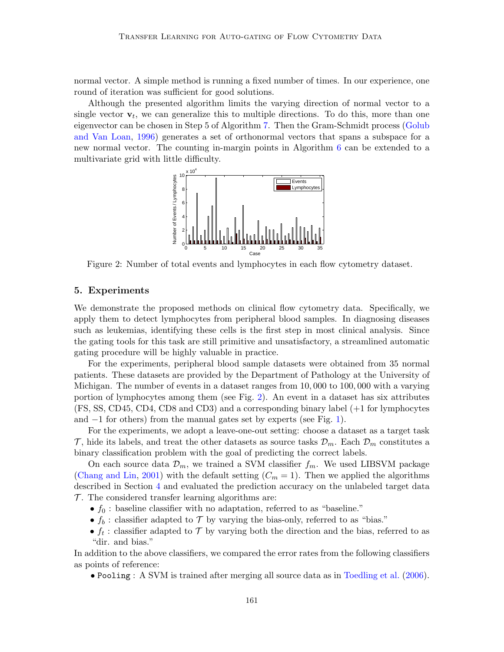normal vector. A simple method is running a fixed number of times. In our experience, one round of iteration was sufficient for good solutions.

Although the presented algorithm limits the varying direction of normal vector to a single vector  $\mathbf{v}_t$ , we can generalize this to multiple directions. To do this, more than one eigenvector can be chosen in Step 5 of Algorithm [7.](#page-5-3) Then the Gram-Schmidt process [\(Golub](#page-11-16) [and Van Loan,](#page-11-16) [1996\)](#page-11-16) generates a set of orthonormal vectors that spans a subspace for a new normal vector. The counting in-margin points in Algorithm [6](#page-5-2) can be extended to a multivariate grid with little difficulty.



<span id="page-6-0"></span>Figure 2: Number of total events and lymphocytes in each flow cytometry dataset.

#### 5. Experiments

We demonstrate the proposed methods on clinical flow cytometry data. Specifically, we apply them to detect lymphocytes from peripheral blood samples. In diagnosing diseases such as leukemias, identifying these cells is the first step in most clinical analysis. Since the gating tools for this task are still primitive and unsatisfactory, a streamlined automatic gating procedure will be highly valuable in practice.

For the experiments, peripheral blood sample datasets were obtained from 35 normal patients. These datasets are provided by the Department of Pathology at the University of Michigan. The number of events in a dataset ranges from 10, 000 to 100, 000 with a varying portion of lymphocytes among them (see Fig. [2\)](#page-6-0). An event in a dataset has six attributes (FS, SS, CD45, CD4, CD8 and CD3) and a corresponding binary label (+1 for lymphocytes and −1 for others) from the manual gates set by experts (see Fig. [1\)](#page-1-0).

For the experiments, we adopt a leave-one-out setting: choose a dataset as a target task  $\mathcal{T}$ , hide its labels, and treat the other datasets as source tasks  $\mathcal{D}_m$ . Each  $\mathcal{D}_m$  constitutes a binary classification problem with the goal of predicting the correct labels.

On each source data  $\mathcal{D}_m$ , we trained a SVM classifier  $f_m$ . We used LIBSVM package [\(Chang and Lin,](#page-11-17) [2001\)](#page-11-17) with the default setting  $(C_m = 1)$ . Then we applied the algorithms described in Section [4](#page-2-0) and evaluated the prediction accuracy on the unlabeled target data  $\mathcal{T}$ . The considered transfer learning algorithms are:

- $f_0$ : baseline classifier with no adaptation, referred to as "baseline."
- $f_b$ : classifier adapted to  $\mathcal T$  by varying the bias-only, referred to as "bias."
- $f_t$ : classifier adapted to  $\mathcal T$  by varying both the direction and the bias, referred to as "dir. and bias."

In addition to the above classifiers, we compared the error rates from the following classifiers as points of reference:

• Pooling : A SVM is trained after merging all source data as in [Toedling et al.](#page-11-12) [\(2006\)](#page-11-12).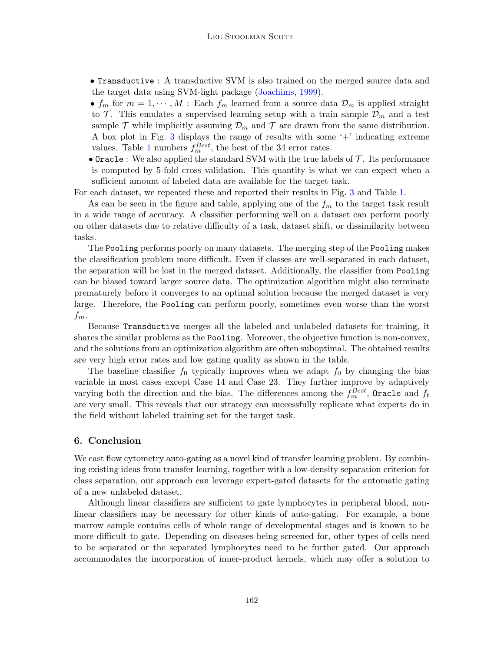- Transductive : A transductive SVM is also trained on the merged source data and the target data using SVM-light package [\(Joachims,](#page-11-18) [1999\)](#page-11-18).
- $f_m$  for  $m = 1, \dots, M$ : Each  $f_m$  learned from a source data  $\mathcal{D}_m$  is applied straight to  $\mathcal{T}$ . This emulates a supervised learning setup with a train sample  $\mathcal{D}_m$  and a test sample  $\mathcal T$  while implicitly assuming  $\mathcal D_m$  and  $\mathcal T$  are drawn from the same distribution. A box plot in Fig. [3](#page-10-0) displays the range of results with some '+' indicating extreme values. Table [1](#page-9-0) numbers  $f_m^{Best}$ , the best of the 34 error rates.
- Oracle : We also applied the standard SVM with the true labels of  $\mathcal T$ . Its performance is computed by 5-fold cross validation. This quantity is what we can expect when a sufficient amount of labeled data are available for the target task.

For each dataset, we repeated these and reported their results in Fig. [3](#page-10-0) and Table [1.](#page-9-0)

As can be seen in the figure and table, applying one of the  $f_m$  to the target task result in a wide range of accuracy. A classifier performing well on a dataset can perform poorly on other datasets due to relative difficulty of a task, dataset shift, or dissimilarity between tasks.

The Pooling performs poorly on many datasets. The merging step of the Pooling makes the classification problem more difficult. Even if classes are well-separated in each dataset, the separation will be lost in the merged dataset. Additionally, the classifier from Pooling can be biased toward larger source data. The optimization algorithm might also terminate prematurely before it converges to an optimal solution because the merged dataset is very large. Therefore, the Pooling can perform poorly, sometimes even worse than the worst  $f_m$ .

Because Transductive merges all the labeled and unlabeled datasets for training, it shares the similar problems as the Pooling. Moreover, the objective function is non-convex, and the solutions from an optimization algorithm are often suboptimal. The obtained results are very high error rates and low gating quality as shown in the table.

The baseline classifier  $f_0$  typically improves when we adapt  $f_0$  by changing the bias variable in most cases except Case 14 and Case 23. They further improve by adaptively varying both the direction and the bias. The differences among the  $f_m^{Best}$ , Oracle and  $f_t$ are very small. This reveals that our strategy can successfully replicate what experts do in the field without labeled training set for the target task.

## 6. Conclusion

We cast flow cytometry auto-gating as a novel kind of transfer learning problem. By combining existing ideas from transfer learning, together with a low-density separation criterion for class separation, our approach can leverage expert-gated datasets for the automatic gating of a new unlabeled dataset.

Although linear classifiers are sufficient to gate lymphocytes in peripheral blood, nonlinear classifiers may be necessary for other kinds of auto-gating. For example, a bone marrow sample contains cells of whole range of developmental stages and is known to be more difficult to gate. Depending on diseases being screened for, other types of cells need to be separated or the separated lymphocytes need to be further gated. Our approach accommodates the incorporation of inner-product kernels, which may offer a solution to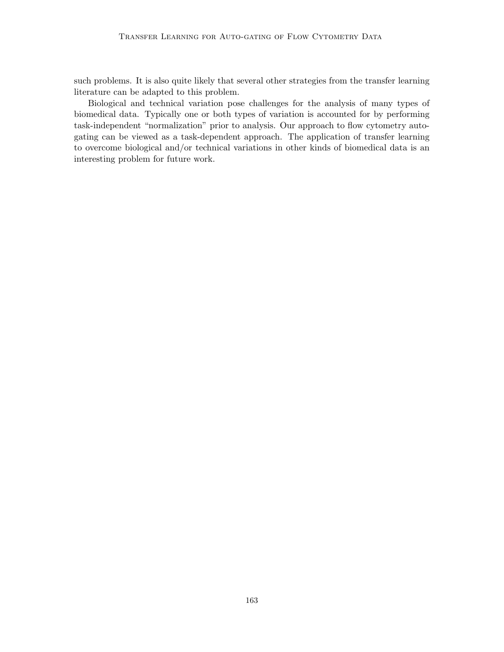such problems. It is also quite likely that several other strategies from the transfer learning literature can be adapted to this problem.

Biological and technical variation pose challenges for the analysis of many types of biomedical data. Typically one or both types of variation is accounted for by performing task-independent "normalization" prior to analysis. Our approach to flow cytometry autogating can be viewed as a task-dependent approach. The application of transfer learning to overcome biological and/or technical variations in other kinds of biomedical data is an interesting problem for future work.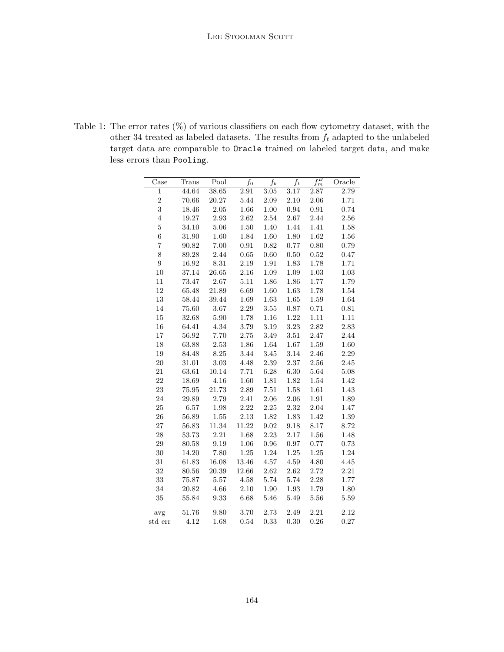<span id="page-9-0"></span>Table 1: The error rates  $(\%)$  of various classifiers on each flow cytometry dataset, with the other 34 treated as labeled datasets. The results from  $f_t$  adapted to the unlabeled target data are comparable to Oracle trained on labeled target data, and make less errors than Pooling.

| $\operatorname{Case}$    | Trans     | Pool      | $f_{0}$    | $\overline{f_b}$ | $\overline{f_t}$ | $f_m^B$  | Oracle   |
|--------------------------|-----------|-----------|------------|------------------|------------------|----------|----------|
| $\overline{1}$           | 44.64     | 38.65     | $2.91\,$   | 3.05             | 3.17             | 2.87     | 2.79     |
| $\overline{2}$           | 70.66     | 20.27     | $5.44\,$   | $2.09\,$         | 2.10             | 2.06     | 1.71     |
| 3                        | 18.46     | $2.05\,$  | 1.66       | 1.00             | 0.94             | 0.91     | 0.74     |
| $\overline{4}$           | 19.27     | 2.93      | $2.62\,$   | $2.54\,$         | 2.67             | 2.44     | 2.56     |
| $\overline{5}$           | 34.10     | $5.06\,$  | $1.50\,$   | 1.40             | 1.44             | 1.41     | 1.58     |
| $\overline{6}$           | 31.90     | 1.60      | 1.84       | $1.60\,$         | 1.80             | $1.62\,$ | 1.56     |
| $\overline{\mathcal{I}}$ | 90.82     | 7.00      | $\rm 0.91$ | $\rm 0.82$       | $0.77\,$         | 0.80     | 0.79     |
| 8                        | 89.28     | $2.44\,$  | $0.65\,$   | $0.60\,$         | $0.50\,$         | $0.52\,$ | 0.47     |
| $\overline{9}$           | 16.92     | $8.31\,$  | $2.19\,$   | $1.91\,$         | $1.83\,$         | $1.78\,$ | 1.71     |
| $10\,$                   | 37.14     | 26.65     | $2.16\,$   | $1.09\,$         | 1.09             | $1.03\,$ | 1.03     |
| 11                       | 73.47     | 2.67      | $5.11\,$   | $1.86\,$         | $1.86\,$         | 1.77     | 1.79     |
| 12                       | 65.48     | 21.89     | 6.69       | $1.60\,$         | $1.63\,$         | $1.78\,$ | 1.54     |
| $13\,$                   | 58.44     | 39.44     | 1.69       | $1.63\,$         | $1.65\,$         | $1.59\,$ | 1.64     |
| 14                       | 75.60     | $3.67\,$  | $2.29\,$   | $3.55\,$         | 0.87             | $0.71\,$ | 0.81     |
| 15                       | 32.68     | 5.90      | $1.78\,$   | $1.16\,$         | $1.22\,$         | $1.11\,$ | $1.11\,$ |
| 16                       | 64.41     | 4.34      | $3.79\,$   | $3.19\,$         | $3.23\,$         | $2.82\,$ | 2.83     |
| $17\,$                   | 56.92     | 7.70      | $2.75\,$   | $3.49\,$         | $3.51\,$         | 2.47     | 2.44     |
| 18                       | 63.88     | $2.53\,$  | $1.86\,$   | $1.64\,$         | $1.67\,$         | $1.59\,$ | 1.60     |
| 19                       | 84.48     | 8.25      | 3.44       | $3.45\,$         | $3.14\,$         | 2.46     | 2.29     |
| $20\,$                   | $31.01\,$ | $3.03\,$  | $4.48\,$   | $2.39\,$         | $2.37\,$         | $2.56\,$ | $2.45\,$ |
| 21                       | 63.61     | 10.14     | 7.71       | $6.28\,$         | $6.30\,$         | 5.64     | 5.08     |
| 22                       | 18.69     | 4.16      | $1.60\,$   | $1.81\,$         | $1.82\,$         | $1.54\,$ | 1.42     |
| 23                       | 75.95     | $21.73\,$ | $2.89\,$   | 7.51             | $1.58\,$         | $1.61\,$ | 1.43     |
| 24                       | 29.89     | $2.79\,$  | 2.41       | $2.06\,$         | 2.06             | $1.91\,$ | 1.89     |
| 25                       | 6.57      | 1.98      | 2.22       | 2.25             | $2.32\,$         | 2.04     | 1.47     |
| $26\,$                   | 56.89     | $1.55\,$  | $2.13\,$   | $1.82\,$         | 1.83             | $1.42\,$ | 1.39     |
| $\sqrt{27}$              | 56.83     | 11.34     | 11.22      | 9.02             | 9.18             | 8.17     | 8.72     |
| 28                       | 53.73     | 2.21      | $1.68\,$   | 2.23             | $2.17\,$         | 1.56     | 1.48     |
| 29                       | 80.58     | $\,9.19$  | 1.06       | $\rm 0.96$       | 0.97             | 0.77     | 0.73     |
| 30                       | 14.20     | 7.80      | $1.25\,$   | $1.24\,$         | $1.25\,$         | $1.25\,$ | $1.24\,$ |
| 31                       | 61.83     | 16.08     | 13.46      | $4.57\,$         | $4.59\,$         | $4.80\,$ | 4.45     |
| 32                       | $80.56\,$ | 20.39     | 12.66      | $2.62\,$         | $2.62\,$         | 2.72     | $2.21\,$ |
| 33                       | 75.87     | $5.57\,$  | $4.58\,$   | 5.74             | 5.74             | $2.28\,$ | 1.77     |
| 34                       | 20.82     | 4.66      | $2.10\,$   | $1.90\,$         | $1.93\,$         | $1.79\,$ | 1.80     |
| 35                       | 55.84     | 9.33      | 6.68       | 5.46             | $5.49\,$         | 5.56     | 5.59     |
| avg                      | 51.76     | 9.80      | 3.70       | 2.73             | $2.49\,$         | 2.21     | 2.12     |
| std err                  | 4.12      | 1.68      | 0.54       | 0.33             | 0.30             | 0.26     | 0.27     |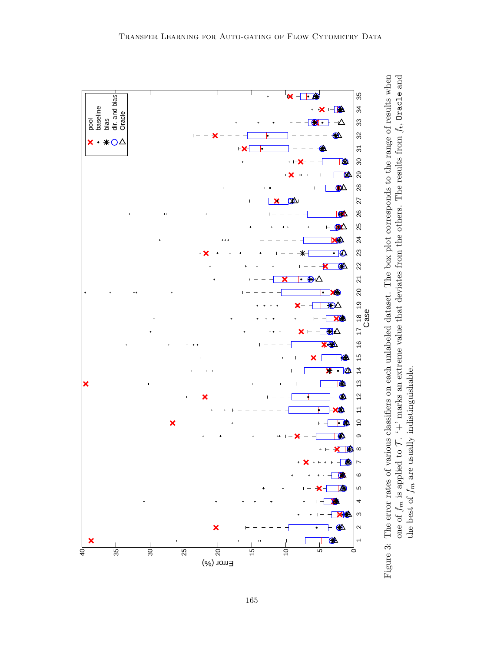<span id="page-10-0"></span>